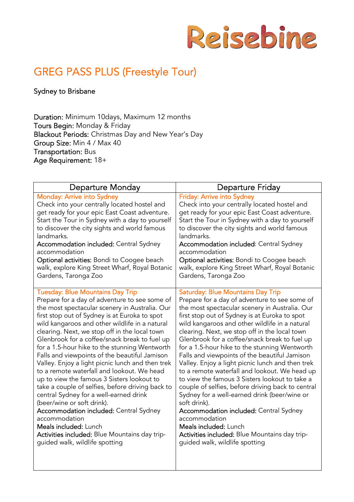

# GREG PASS PLUS (Freestyle Tour)

Sydney to Brisbane

Duration: Minimum 10days, Maximum 12 months Tours Begin: Monday & Friday Blackout Periods: Christmas Day and New Year's Day Group Size: Min 4 / Max 40 Transportation: Bus Age Requirement: 18+

| <b>Departure Monday</b>                          | <b>Departure Friday</b>                           |
|--------------------------------------------------|---------------------------------------------------|
| <b>Monday: Arrive into Sydney</b>                | Friday: Arrive into Sydney                        |
| Check into your centrally located hostel and     | Check into your centrally located hostel and      |
| get ready for your epic East Coast adventure.    | get ready for your epic East Coast adventure.     |
| Start the Tour in Sydney with a day to yourself  | Start the Tour in Sydney with a day to yourself   |
| to discover the city sights and world famous     | to discover the city sights and world famous      |
| landmarks.                                       | landmarks.                                        |
| <b>Accommodation included: Central Sydney</b>    | Accommodation included: Central Sydney            |
| accommodation                                    | accommodation                                     |
| Optional activities: Bondi to Coogee beach       | Optional activities: Bondi to Coogee beach        |
| walk, explore King Street Wharf, Royal Botanic   | walk, explore King Street Wharf, Royal Botanic    |
| Gardens, Taronga Zoo                             | Gardens, Taronga Zoo                              |
| <b>Tuesday: Blue Mountains Day Trip</b>          | <b>Saturday: Blue Mountains Day Trip</b>          |
| Prepare for a day of adventure to see some of    | Prepare for a day of adventure to see some of     |
| the most spectacular scenery in Australia. Our   | the most spectacular scenery in Australia. Our    |
| first stop out of Sydney is at Euroka to spot    | first stop out of Sydney is at Euroka to spot     |
| wild kangaroos and other wildlife in a natural   | wild kangaroos and other wildlife in a natural    |
| clearing. Next, we stop off in the local town    | clearing. Next, we stop off in the local town     |
| Glenbrook for a coffee/snack break to fuel up    | Glenbrook for a coffee/snack break to fuel up     |
| for a 1.5-hour hike to the stunning Wentworth    | for a 1.5-hour hike to the stunning Wentworth     |
| Falls and viewpoints of the beautiful Jamison    | Falls and viewpoints of the beautiful Jamison     |
| Valley. Enjoy a light picnic lunch and then trek | Valley. Enjoy a light picnic lunch and then trek  |
| to a remote waterfall and lookout. We head       | to a remote waterfall and lookout. We head up     |
| up to view the famous 3 Sisters lookout to       | to view the famous 3 Sisters lookout to take a    |
| take a couple of selfies, before driving back to | couple of selfies, before driving back to central |
| central Sydney for a well-earned drink           | Sydney for a well-earned drink (beer/wine or      |
| (beer/wine or soft drink).                       | soft drink).                                      |
| <b>Accommodation included: Central Sydney</b>    | <b>Accommodation included: Central Sydney</b>     |
| accommodation                                    | accommodation                                     |
| Meals included: Lunch                            | Meals included: Lunch                             |
| Activities included: Blue Mountains day trip-    | Activities included: Blue Mountains day trip-     |
| guided walk, wildlife spotting                   | guided walk, wildlife spotting                    |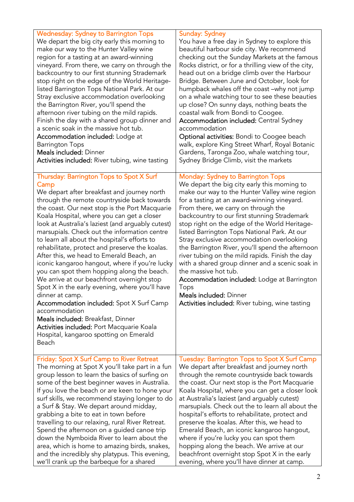| <b>Wednesday: Sydney to Barrington Tops</b>                                                                                                                                                                                                                                                                                                                                                                                                                                                                                                                                                                                                                                                                                                                                                                                                                                                                                   | <b>Sunday: Sydney</b>                                                                                                                                                                                                                                                                                                                                                                                                                                                                                                                                                                                                                                                                                                                               |
|-------------------------------------------------------------------------------------------------------------------------------------------------------------------------------------------------------------------------------------------------------------------------------------------------------------------------------------------------------------------------------------------------------------------------------------------------------------------------------------------------------------------------------------------------------------------------------------------------------------------------------------------------------------------------------------------------------------------------------------------------------------------------------------------------------------------------------------------------------------------------------------------------------------------------------|-----------------------------------------------------------------------------------------------------------------------------------------------------------------------------------------------------------------------------------------------------------------------------------------------------------------------------------------------------------------------------------------------------------------------------------------------------------------------------------------------------------------------------------------------------------------------------------------------------------------------------------------------------------------------------------------------------------------------------------------------------|
| We depart the big city early this morning to                                                                                                                                                                                                                                                                                                                                                                                                                                                                                                                                                                                                                                                                                                                                                                                                                                                                                  | You have a free day in Sydney to explore this                                                                                                                                                                                                                                                                                                                                                                                                                                                                                                                                                                                                                                                                                                       |
| make our way to the Hunter Valley wine                                                                                                                                                                                                                                                                                                                                                                                                                                                                                                                                                                                                                                                                                                                                                                                                                                                                                        | beautiful harbour side city. We recommend                                                                                                                                                                                                                                                                                                                                                                                                                                                                                                                                                                                                                                                                                                           |
| region for a tasting at an award-winning                                                                                                                                                                                                                                                                                                                                                                                                                                                                                                                                                                                                                                                                                                                                                                                                                                                                                      | checking out the Sunday Markets at the famous                                                                                                                                                                                                                                                                                                                                                                                                                                                                                                                                                                                                                                                                                                       |
| vineyard. From there, we carry on through the                                                                                                                                                                                                                                                                                                                                                                                                                                                                                                                                                                                                                                                                                                                                                                                                                                                                                 | Rocks district, or for a thrilling view of the city,                                                                                                                                                                                                                                                                                                                                                                                                                                                                                                                                                                                                                                                                                                |
| backcountry to our first stunning Strademark                                                                                                                                                                                                                                                                                                                                                                                                                                                                                                                                                                                                                                                                                                                                                                                                                                                                                  | head out on a bridge climb over the Harbour                                                                                                                                                                                                                                                                                                                                                                                                                                                                                                                                                                                                                                                                                                         |
| stop right on the edge of the World Heritage-                                                                                                                                                                                                                                                                                                                                                                                                                                                                                                                                                                                                                                                                                                                                                                                                                                                                                 | Bridge. Between June and October, look for                                                                                                                                                                                                                                                                                                                                                                                                                                                                                                                                                                                                                                                                                                          |
| listed Barrington Tops National Park. At our                                                                                                                                                                                                                                                                                                                                                                                                                                                                                                                                                                                                                                                                                                                                                                                                                                                                                  | humpback whales off the coast -why not jump                                                                                                                                                                                                                                                                                                                                                                                                                                                                                                                                                                                                                                                                                                         |
| Stray exclusive accommodation overlooking                                                                                                                                                                                                                                                                                                                                                                                                                                                                                                                                                                                                                                                                                                                                                                                                                                                                                     | on a whale watching tour to see these beauties                                                                                                                                                                                                                                                                                                                                                                                                                                                                                                                                                                                                                                                                                                      |
| the Barrington River, you'll spend the                                                                                                                                                                                                                                                                                                                                                                                                                                                                                                                                                                                                                                                                                                                                                                                                                                                                                        | up close? On sunny days, nothing beats the                                                                                                                                                                                                                                                                                                                                                                                                                                                                                                                                                                                                                                                                                                          |
| afternoon river tubing on the mild rapids.                                                                                                                                                                                                                                                                                                                                                                                                                                                                                                                                                                                                                                                                                                                                                                                                                                                                                    | coastal walk from Bondi to Coogee.                                                                                                                                                                                                                                                                                                                                                                                                                                                                                                                                                                                                                                                                                                                  |
| Finish the day with a shared group dinner and                                                                                                                                                                                                                                                                                                                                                                                                                                                                                                                                                                                                                                                                                                                                                                                                                                                                                 | <b>Accommodation included:</b> Central Sydney                                                                                                                                                                                                                                                                                                                                                                                                                                                                                                                                                                                                                                                                                                       |
| a scenic soak in the massive hot tub.                                                                                                                                                                                                                                                                                                                                                                                                                                                                                                                                                                                                                                                                                                                                                                                                                                                                                         | accommodation                                                                                                                                                                                                                                                                                                                                                                                                                                                                                                                                                                                                                                                                                                                                       |
| Accommodation included: Lodge at                                                                                                                                                                                                                                                                                                                                                                                                                                                                                                                                                                                                                                                                                                                                                                                                                                                                                              | Optional activities: Bondi to Coogee beach                                                                                                                                                                                                                                                                                                                                                                                                                                                                                                                                                                                                                                                                                                          |
| <b>Barrington Tops</b>                                                                                                                                                                                                                                                                                                                                                                                                                                                                                                                                                                                                                                                                                                                                                                                                                                                                                                        | walk, explore King Street Wharf, Royal Botanic                                                                                                                                                                                                                                                                                                                                                                                                                                                                                                                                                                                                                                                                                                      |
| Meals included: Dinner                                                                                                                                                                                                                                                                                                                                                                                                                                                                                                                                                                                                                                                                                                                                                                                                                                                                                                        | Gardens, Taronga Zoo, whale watching tour,                                                                                                                                                                                                                                                                                                                                                                                                                                                                                                                                                                                                                                                                                                          |
| Activities included: River tubing, wine tasting                                                                                                                                                                                                                                                                                                                                                                                                                                                                                                                                                                                                                                                                                                                                                                                                                                                                               | Sydney Bridge Climb, visit the markets                                                                                                                                                                                                                                                                                                                                                                                                                                                                                                                                                                                                                                                                                                              |
| Thursday: Barrington Tops to Spot X Surf<br>Camp<br>We depart after breakfast and journey north<br>through the remote countryside back towards<br>the coast. Our next stop is the Port Macquarie<br>Koala Hospital, where you can get a closer<br>look at Australia's laziest (and arguably cutest)<br>marsupials. Check out the information centre<br>to learn all about the hospital's efforts to<br>rehabilitate, protect and preserve the koalas.<br>After this, we head to Emerald Beach, an<br>iconic kangaroo hangout, where if you're lucky<br>you can spot them hopping along the beach.<br>We arrive at our beachfront overnight stop<br>Spot X in the early evening, where you'll have<br>dinner at camp.<br><b>Accommodation included:</b> Spot X Surf Camp<br>accommodation<br>Meals included: Breakfast, Dinner<br>Activities included: Port Macquarie Koala<br>Hospital, kangaroo spotting on Emerald<br>Beach | <b>Monday: Sydney to Barrington Tops</b><br>We depart the big city early this morning to<br>make our way to the Hunter Valley wine region<br>for a tasting at an award-winning vineyard.<br>From there, we carry on through the<br>backcountry to our first stunning Strademark<br>stop right on the edge of the World Heritage-<br>listed Barrington Tops National Park. At our<br>Stray exclusive accommodation overlooking<br>the Barrington River, you'll spend the afternoon<br>river tubing on the mild rapids. Finish the day<br>with a shared group dinner and a scenic soak in<br>the massive hot tub.<br>Accommodation included: Lodge at Barrington<br>Tops<br>Meals included: Dinner<br>Activities included: River tubing, wine tasting |
| Friday: Spot X Surf Camp to River Retreat                                                                                                                                                                                                                                                                                                                                                                                                                                                                                                                                                                                                                                                                                                                                                                                                                                                                                     | Tuesday: Barrington Tops to Spot X Surf Camp                                                                                                                                                                                                                                                                                                                                                                                                                                                                                                                                                                                                                                                                                                        |
| The morning at Spot X you'll take part in a fun                                                                                                                                                                                                                                                                                                                                                                                                                                                                                                                                                                                                                                                                                                                                                                                                                                                                               | We depart after breakfast and journey north                                                                                                                                                                                                                                                                                                                                                                                                                                                                                                                                                                                                                                                                                                         |
| group lesson to learn the basics of surfing on                                                                                                                                                                                                                                                                                                                                                                                                                                                                                                                                                                                                                                                                                                                                                                                                                                                                                | through the remote countryside back towards                                                                                                                                                                                                                                                                                                                                                                                                                                                                                                                                                                                                                                                                                                         |
| some of the best beginner waves in Australia.                                                                                                                                                                                                                                                                                                                                                                                                                                                                                                                                                                                                                                                                                                                                                                                                                                                                                 | the coast. Our next stop is the Port Macquarie                                                                                                                                                                                                                                                                                                                                                                                                                                                                                                                                                                                                                                                                                                      |
| If you love the beach or are keen to hone your                                                                                                                                                                                                                                                                                                                                                                                                                                                                                                                                                                                                                                                                                                                                                                                                                                                                                | Koala Hospital, where you can get a closer look                                                                                                                                                                                                                                                                                                                                                                                                                                                                                                                                                                                                                                                                                                     |
| surf skills, we recommend staying longer to do                                                                                                                                                                                                                                                                                                                                                                                                                                                                                                                                                                                                                                                                                                                                                                                                                                                                                | at Australia's laziest (and arguably cutest)                                                                                                                                                                                                                                                                                                                                                                                                                                                                                                                                                                                                                                                                                                        |
| a Surf & Stay. We depart around midday,                                                                                                                                                                                                                                                                                                                                                                                                                                                                                                                                                                                                                                                                                                                                                                                                                                                                                       | marsupials. Check out the to learn all about the                                                                                                                                                                                                                                                                                                                                                                                                                                                                                                                                                                                                                                                                                                    |
| grabbing a bite to eat in town before                                                                                                                                                                                                                                                                                                                                                                                                                                                                                                                                                                                                                                                                                                                                                                                                                                                                                         | hospital's efforts to rehabilitate, protect and                                                                                                                                                                                                                                                                                                                                                                                                                                                                                                                                                                                                                                                                                                     |
| travelling to our relaxing, rural River Retreat.                                                                                                                                                                                                                                                                                                                                                                                                                                                                                                                                                                                                                                                                                                                                                                                                                                                                              | preserve the koalas. After this, we head to                                                                                                                                                                                                                                                                                                                                                                                                                                                                                                                                                                                                                                                                                                         |
| Spend the afternoon on a guided canoe trip                                                                                                                                                                                                                                                                                                                                                                                                                                                                                                                                                                                                                                                                                                                                                                                                                                                                                    | Emerald Beach, an iconic kangaroo hangout,                                                                                                                                                                                                                                                                                                                                                                                                                                                                                                                                                                                                                                                                                                          |
| down the Nymboida River to learn about the                                                                                                                                                                                                                                                                                                                                                                                                                                                                                                                                                                                                                                                                                                                                                                                                                                                                                    | where if you're lucky you can spot them                                                                                                                                                                                                                                                                                                                                                                                                                                                                                                                                                                                                                                                                                                             |
| area, which is home to amazing birds, snakes,                                                                                                                                                                                                                                                                                                                                                                                                                                                                                                                                                                                                                                                                                                                                                                                                                                                                                 | hopping along the beach. We arrive at our                                                                                                                                                                                                                                                                                                                                                                                                                                                                                                                                                                                                                                                                                                           |
| and the incredibly shy platypus. This evening,                                                                                                                                                                                                                                                                                                                                                                                                                                                                                                                                                                                                                                                                                                                                                                                                                                                                                | beachfront overnight stop Spot X in the early                                                                                                                                                                                                                                                                                                                                                                                                                                                                                                                                                                                                                                                                                                       |
| we'll crank up the barbeque for a shared                                                                                                                                                                                                                                                                                                                                                                                                                                                                                                                                                                                                                                                                                                                                                                                                                                                                                      | evening, where you'll have dinner at camp.                                                                                                                                                                                                                                                                                                                                                                                                                                                                                                                                                                                                                                                                                                          |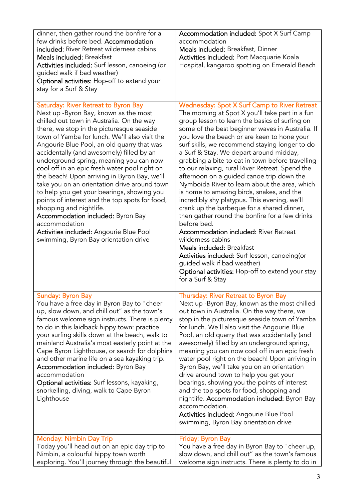| dinner, then gather round the bonfire for a<br>few drinks before bed. Accommodation<br>included: River Retreat wilderness cabins<br><b>Meals included: Breakfast</b><br>Activities included: Surf lesson, canoeing (or<br>guided walk if bad weather)<br>Optional activities: Hop-off to extend your<br>stay for a Surf & Stay                                                                                                                                                                                                                                                                                                                                                                                                                                                       | Accommodation included: Spot X Surf Camp<br>accommodation<br>Meals included: Breakfast, Dinner<br>Activities included: Port Macquarie Koala<br>Hospital, kangaroo spotting on Emerald Beach                                                                                                                                                                                                                                                                                                                                                                                                                                                                                                                                                                                                                                                                                                                                                                                                                                          |
|--------------------------------------------------------------------------------------------------------------------------------------------------------------------------------------------------------------------------------------------------------------------------------------------------------------------------------------------------------------------------------------------------------------------------------------------------------------------------------------------------------------------------------------------------------------------------------------------------------------------------------------------------------------------------------------------------------------------------------------------------------------------------------------|--------------------------------------------------------------------------------------------------------------------------------------------------------------------------------------------------------------------------------------------------------------------------------------------------------------------------------------------------------------------------------------------------------------------------------------------------------------------------------------------------------------------------------------------------------------------------------------------------------------------------------------------------------------------------------------------------------------------------------------------------------------------------------------------------------------------------------------------------------------------------------------------------------------------------------------------------------------------------------------------------------------------------------------|
| Saturday: River Retreat to Byron Bay<br>Next up -Byron Bay, known as the most<br>chilled out town in Australia. On the way<br>there, we stop in the picturesque seaside<br>town of Yamba for lunch. We'll also visit the<br>Angourie Blue Pool, an old quarry that was<br>accidentally (and awesomely) filled by an<br>underground spring, meaning you can now<br>cool off in an epic fresh water pool right on<br>the beach! Upon arriving in Byron Bay, we'll<br>take you on an orientation drive around town<br>to help you get your bearings, showing you<br>points of interest and the top spots for food,<br>shopping and nightlife.<br>Accommodation included: Byron Bay<br>accommodation<br>Activities included: Angourie Blue Pool<br>swimming, Byron Bay orientation drive | Wednesday: Spot X Surf Camp to River Retreat<br>The morning at Spot X you'll take part in a fun<br>group lesson to learn the basics of surfing on<br>some of the best beginner waves in Australia. If<br>you love the beach or are keen to hone your<br>surf skills, we recommend staying longer to do<br>a Surf & Stay. We depart around midday,<br>grabbing a bite to eat in town before travelling<br>to our relaxing, rural River Retreat. Spend the<br>afternoon on a guided canoe trip down the<br>Nymboida River to learn about the area, which<br>is home to amazing birds, snakes, and the<br>incredibly shy platypus. This evening, we'll<br>crank up the barbeque for a shared dinner,<br>then gather round the bonfire for a few drinks<br>before bed.<br><b>Accommodation included: River Retreat</b><br>wilderness cabins<br><b>Meals included: Breakfast</b><br>Activities included: Surf lesson, canoeing(or<br>guided walk if bad weather)<br>Optional activities: Hop-off to extend your stay<br>for a Surf & Stay |
| Sunday: Byron Bay<br>You have a free day in Byron Bay to "cheer<br>up, slow down, and chill out" as the town's<br>famous welcome sign instructs. There is plenty<br>to do in this laidback hippy town: practice<br>your surfing skills down at the beach, walk to<br>mainland Australia's most easterly point at the<br>Cape Byron Lighthouse, or search for dolphins<br>and other marine life on a sea kayaking trip.<br><b>Accommodation included: Byron Bay</b><br>accommodation<br>Optional activities: Surf lessons, kayaking,<br>snorkelling, diving, walk to Cape Byron<br>Lighthouse                                                                                                                                                                                         | Thursday: River Retreat to Byron Bay<br>Next up -Byron Bay, known as the most chilled<br>out town in Australia. On the way there, we<br>stop in the picturesque seaside town of Yamba<br>for lunch. We'll also visit the Angourie Blue<br>Pool, an old quarry that was accidentally (and<br>awesomely) filled by an underground spring,<br>meaning you can now cool off in an epic fresh<br>water pool right on the beach! Upon arriving in<br>Byron Bay, we'll take you on an orientation<br>drive around town to help you get your<br>bearings, showing you the points of interest<br>and the top spots for food, shopping and<br>nightlife. Accommodation included: Byron Bay<br>accommodation.<br>Activities included: Angourie Blue Pool<br>swimming, Byron Bay orientation drive                                                                                                                                                                                                                                               |
| <b>Monday: Nimbin Day Trip</b><br>Today you'll head out on an epic day trip to<br>Nimbin, a colourful hippy town worth<br>exploring. You'll journey through the beautiful                                                                                                                                                                                                                                                                                                                                                                                                                                                                                                                                                                                                            | Friday: Byron Bay<br>You have a free day in Byron Bay to "cheer up,<br>slow down, and chill out" as the town's famous<br>welcome sign instructs. There is plenty to do in                                                                                                                                                                                                                                                                                                                                                                                                                                                                                                                                                                                                                                                                                                                                                                                                                                                            |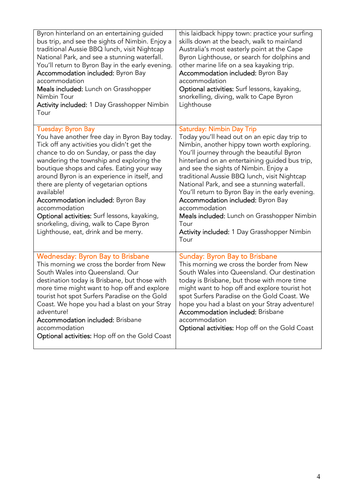| Byron hinterland on an entertaining guided<br>bus trip, and see the sights of Nimbin. Enjoy a<br>traditional Aussie BBQ lunch, visit Nightcap<br>National Park, and see a stunning waterfall.<br>You'll return to Byron Bay in the early evening.<br><b>Accommodation included:</b> Byron Bay<br>accommodation<br>Meals included: Lunch on Grasshopper<br>Nimbin Tour<br><b>Activity included:</b> 1 Day Grasshopper Nimbin<br>Tour                                                                                                                                 | this laidback hippy town: practice your surfing<br>skills down at the beach, walk to mainland<br>Australia's most easterly point at the Cape<br>Byron Lighthouse, or search for dolphins and<br>other marine life on a sea kayaking trip.<br>Accommodation included: Byron Bay<br>accommodation<br>Optional activities: Surf lessons, kayaking,<br>snorkelling, diving, walk to Cape Byron<br>Lighthouse                                                                                                                                                                                  |
|---------------------------------------------------------------------------------------------------------------------------------------------------------------------------------------------------------------------------------------------------------------------------------------------------------------------------------------------------------------------------------------------------------------------------------------------------------------------------------------------------------------------------------------------------------------------|-------------------------------------------------------------------------------------------------------------------------------------------------------------------------------------------------------------------------------------------------------------------------------------------------------------------------------------------------------------------------------------------------------------------------------------------------------------------------------------------------------------------------------------------------------------------------------------------|
| <b>Tuesday: Byron Bay</b><br>You have another free day in Byron Bay today.<br>Tick off any activities you didn't get the<br>chance to do on Sunday, or pass the day<br>wandering the township and exploring the<br>boutique shops and cafes. Eating your way<br>around Byron is an experience in itself, and<br>there are plenty of vegetarian options<br>available!<br><b>Accommodation included: Byron Bay</b><br>accommodation<br>Optional activities: Surf lessons, kayaking,<br>snorkeling, diving, walk to Cape Byron<br>Lighthouse, eat, drink and be merry. | Saturday: Nimbin Day Trip<br>Today you'll head out on an epic day trip to<br>Nimbin, another hippy town worth exploring.<br>You'll journey through the beautiful Byron<br>hinterland on an entertaining guided bus trip,<br>and see the sights of Nimbin. Enjoy a<br>traditional Aussie BBQ lunch, visit Nightcap<br>National Park, and see a stunning waterfall.<br>You'll return to Byron Bay in the early evening.<br>Accommodation included: Byron Bay<br>accommodation<br>Meals included: Lunch on Grasshopper Nimbin<br>Tour<br>Activity included: 1 Day Grasshopper Nimbin<br>Tour |
| <b>Wednesday: Byron Bay to Brisbane</b><br>This morning we cross the border from New<br>South Wales into Queensland. Our<br>destination today is Brisbane, but those with<br>more time might want to hop off and explore<br>tourist hot spot Surfers Paradise on the Gold<br>Coast. We hope you had a blast on your Stray<br>adventure!<br><b>Accommodation included: Brisbane</b><br>accommodation<br>Optional activities: Hop off on the Gold Coast                                                                                                               | <b>Sunday: Byron Bay to Brisbane</b><br>This morning we cross the border from New<br>South Wales into Queensland. Our destination<br>today is Brisbane, but those with more time<br>might want to hop off and explore tourist hot<br>spot Surfers Paradise on the Gold Coast. We<br>hope you had a blast on your Stray adventure!<br>Accommodation included: Brisbane<br>accommodation<br>Optional activities: Hop off on the Gold Coast                                                                                                                                                  |